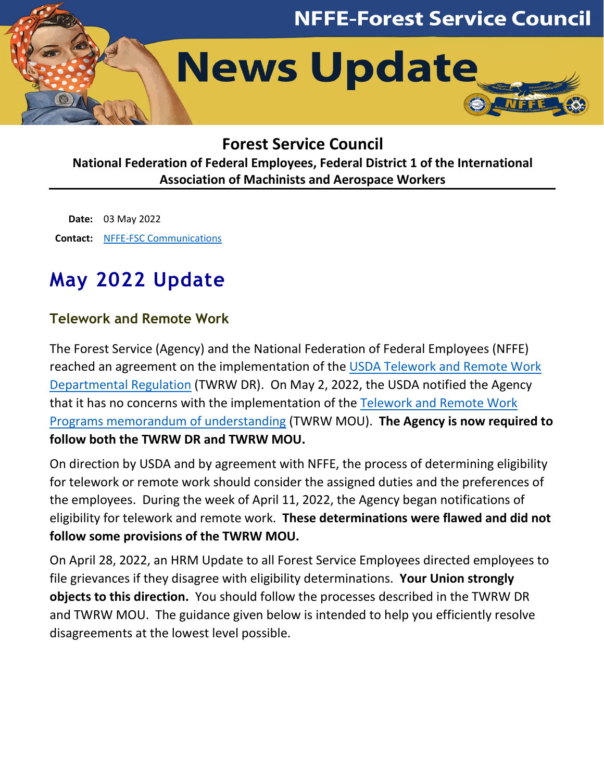

# **Forest Service Council**

**National Federation of Federal Employees, Federal District 1 of the International Association of Machinists and Aerospace Workers**

**Date:** 03 May 2022 **Contact:** [NFFE-FSC Communications](mailto:nffe_fsc_communications@usda.gov)

# **May 2022 Update**

## **Telework and Remote Work**

The Forest Service (Agency) and the National Federation of Federal Employees (NFFE) reached an agreement on the implementation of the [USDA Telework and Remote Work](https://www.usda.gov/directives/dr-4080-811-002)  [Departmental Regulation](https://www.usda.gov/directives/dr-4080-811-002) (TWRW DR). On May 2, 2022, the USDA notified the Agency that it has no concerns with the implementation of the [Telework and Remote Work](http://www.nffe-fsc.org/about/downloads/national/20220428-nffe-fsc-mou-telework-remote-work.pdf)  [Programs memorandum of understanding](http://www.nffe-fsc.org/about/downloads/national/20220428-nffe-fsc-mou-telework-remote-work.pdf) (TWRW MOU). **The Agency is now required to follow both the TWRW DR and TWRW MOU.**

On direction by USDA and by agreement with NFFE, the process of determining eligibility for telework or remote work should consider the assigned duties and the preferences of the employees. During the week of April 11, 2022, the Agency began notifications of eligibility for telework and remote work. **These determinations were flawed and did not follow some provisions of the TWRW MOU.**

On April 28, 2022, an HRM Update to all Forest Service Employees directed employees to file grievances if they disagree with eligibility determinations. **Your Union strongly objects to this direction.** You should follow the processes described in the TWRW DR and TWRW MOU. The guidance given below is intended to help you efficiently resolve disagreements at the lowest level possible.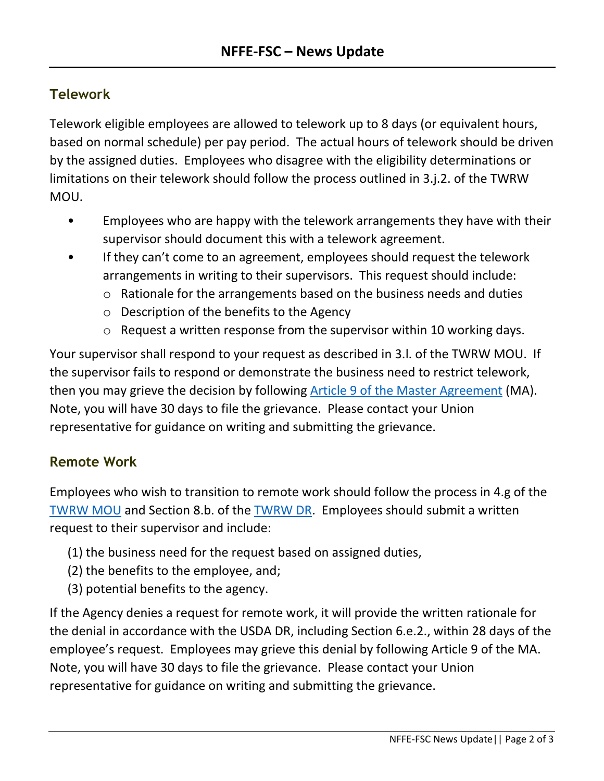## **Telework**

Telework eligible employees are allowed to telework up to 8 days (or equivalent hours, based on normal schedule) per pay period. The actual hours of telework should be driven by the assigned duties. Employees who disagree with the eligibility determinations or limitations on their telework should follow the process outlined in 3.j.2. of the TWRW MOU.

- Employees who are happy with the telework arrangements they have with their supervisor should document this with a telework agreement.
- If they can't come to an agreement, employees should request the telework arrangements in writing to their supervisors. This request should include:
	- o Rationale for the arrangements based on the business needs and duties
	- o Description of the benefits to the Agency
	- o Request a written response from the supervisor within 10 working days.

Your supervisor shall respond to your request as described in 3.l. of the TWRW MOU. If the supervisor fails to respond or demonstrate the business need to restrict telework, then you may grieve the decision by following [Article 9 of the Master Agreement](http://www.nffe-fsc.org/master-agreement/downloads/20201027-nffe-fsc-master-agreement-update.pdf) (MA). Note, you will have 30 days to file the grievance. Please contact your Union representative for guidance on writing and submitting the grievance.

#### **Remote Work**

Employees who wish to transition to remote work should follow the process in 4.g of the [TWRW MOU](http://www.nffe-fsc.org/about/downloads/national/20220428-nffe-fsc-mou-telework-remote-work.pdf) and Section 8.b. of the [TWRW DR.](https://www.usda.gov/directives/dr-4080-811-002) Employees should submit a written request to their supervisor and include:

- (1) the business need for the request based on assigned duties,
- (2) the benefits to the employee, and;
- (3) potential benefits to the agency.

If the Agency denies a request for remote work, it will provide the written rationale for the denial in accordance with the USDA DR, including Section 6.e.2., within 28 days of the employee's request. Employees may grieve this denial by following Article 9 of the MA. Note, you will have 30 days to file the grievance. Please contact your Union representative for guidance on writing and submitting the grievance.